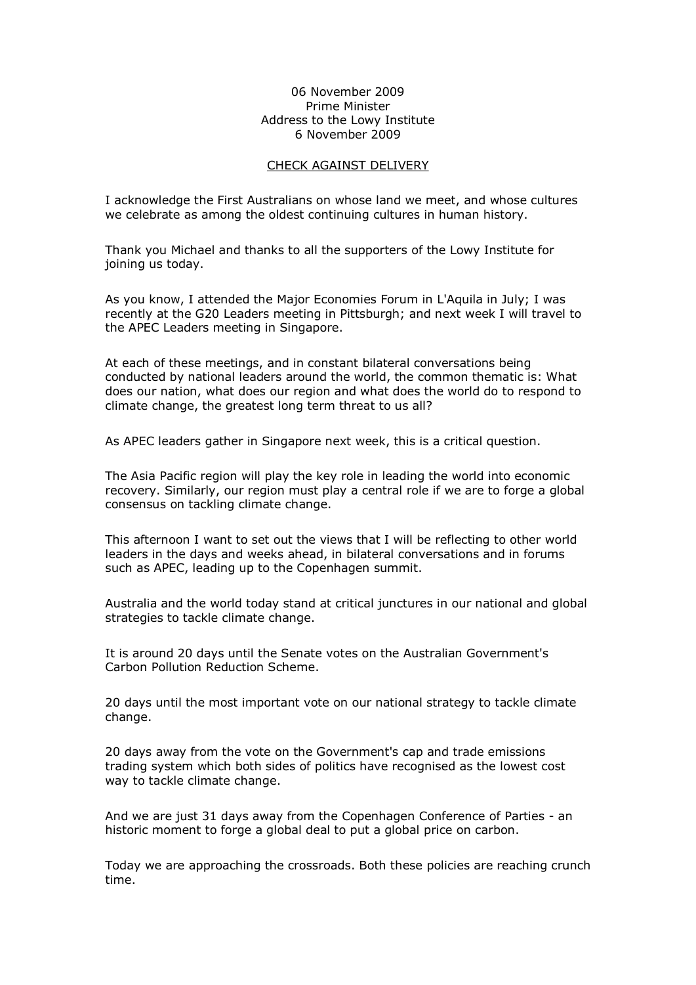## 06 November 2009 Prime Minister Address to the Lowy Institute 6 November 2009

## CHECK AGAINST DELIVERY

I acknowledge the First Australians on whose land we meet, and whose cultures we celebrate as among the oldest continuing cultures in human history.

Thank you Michael and thanks to all the supporters of the Lowy Institute for joining us today.

As you know, I attended the Major Economies Forum in L'Aquila in July; I was recently at the G20 Leaders meeting in Pittsburgh; and next week I will travel to the APEC Leaders meeting in Singapore.

At each of these meetings, and in constant bilateral conversations being conducted by national leaders around the world, the common thematic is: What does our nation, what does our region and what does the world do to respond to climate change, the greatest long term threat to us all?

As APEC leaders gather in Singapore next week, this is a critical question.

The Asia Pacific region will play the key role in leading the world into economic recovery. Similarly, our region must play a central role if we are to forge a global consensus on tackling climate change.

This afternoon I want to set out the views that I will be reflecting to other world leaders in the days and weeks ahead, in bilateral conversations and in forums such as APEC, leading up to the Copenhagen summit.

Australia and the world today stand at critical junctures in our national and global strategies to tackle climate change.

It is around 20 days until the Senate votes on the Australian Government's Carbon Pollution Reduction Scheme.

20 days until the most important vote on our national strategy to tackle climate change.

20 days away from the vote on the Government's cap and trade emissions trading system which both sides of politics have recognised as the lowest cost way to tackle climate change.

And we are just 31 days away from the Copenhagen Conference of Parties - an historic moment to forge a global deal to put a global price on carbon.

Today we are approaching the crossroads. Both these policies are reaching crunch time.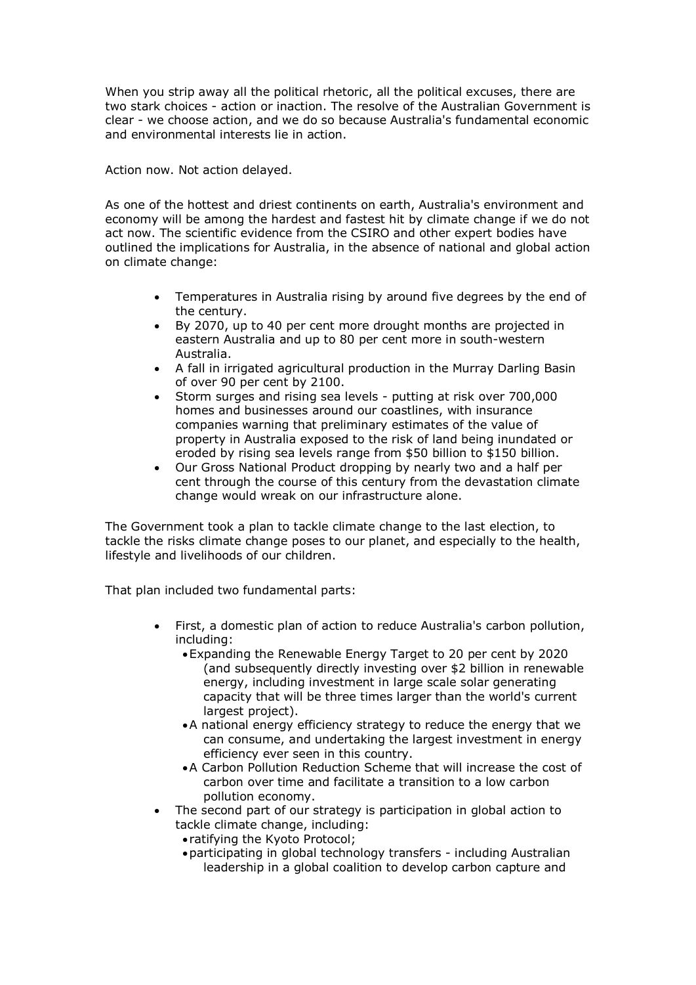When you strip away all the political rhetoric, all the political excuses, there are two stark choices - action or inaction. The resolve of the Australian Government is clear we choose action, and we do so because Australia's fundamental economic and environmental interests lie in action.

Action now. Not action delayed.

As one of the hottest and driest continents on earth, Australia's environment and economy will be among the hardest and fastest hit by climate change if we do not act now. The scientific evidence from the CSIRO and other expert bodies have outlined the implications for Australia, in the absence of national and global action on climate change:

- · Temperatures in Australia rising by around five degrees by the end of the century.
- · By 2070, up to 40 per cent more drought months are projected in eastern Australia and up to 80 per cent more in south-western Australia.
- · A fall in irrigated agricultural production in the Murray Darling Basin of over 90 per cent by 2100.
- Storm surges and rising sea levels putting at risk over 700,000 homes and businesses around our coastlines, with insurance companies warning that preliminary estimates of the value of property in Australia exposed to the risk of land being inundated or eroded by rising sea levels range from \$50 billion to \$150 billion.
- · Our Gross National Product dropping by nearly two and a half per cent through the course of this century from the devastation climate change would wreak on our infrastructure alone.

The Government took a plan to tackle climate change to the last election, to tackle the risks climate change poses to our planet, and especially to the health, lifestyle and livelihoods of our children.

That plan included two fundamental parts:

- First, a domestic plan of action to reduce Australia's carbon pollution, including:
	- ·Expanding the Renewable Energy Target to 20 per cent by 2020 (and subsequently directly investing over \$2 billion in renewable energy, including investment in large scale solar generating capacity that will be three times larger than the world's current largest project).
	- ·A national energy efficiency strategy to reduce the energy that we can consume, and undertaking the largest investment in energy efficiency ever seen in this country.
	- ·A Carbon Pollution Reduction Scheme that will increase the cost of carbon over time and facilitate a transition to a low carbon pollution economy.
- The second part of our strategy is participation in global action to tackle climate change, including:
	- · ratifying the Kyoto Protocol;
	- participating in global technology transfers including Australian leadership in a global coalition to develop carbon capture and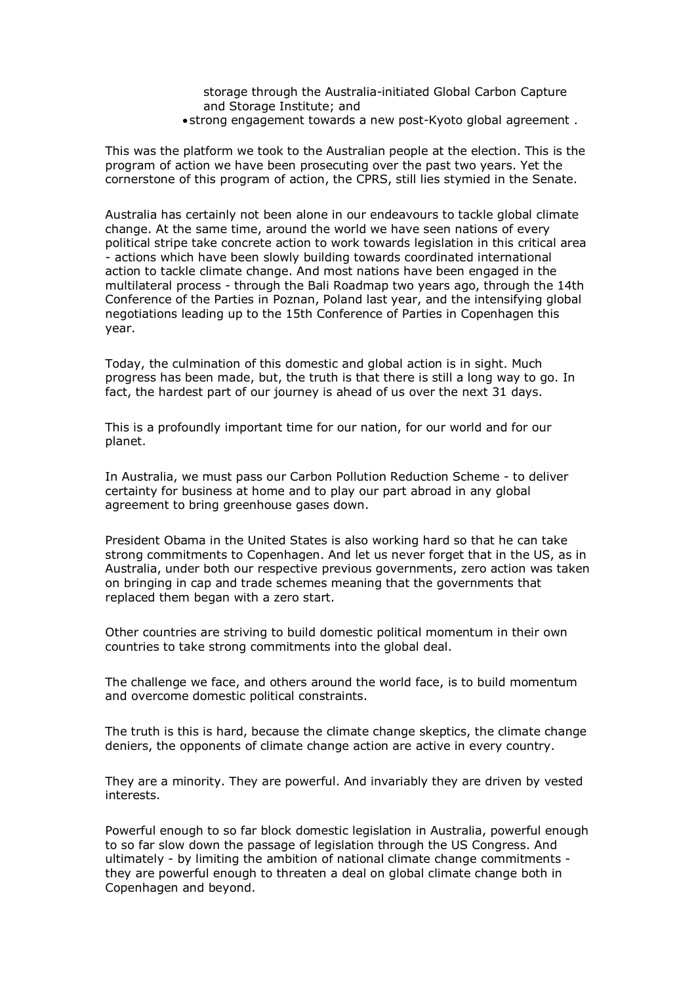storage through the Australia-initiated Global Carbon Capture and Storage Institute; and

• strong engagement towards a new post-Kyoto global agreement.

This was the platform we took to the Australian people at the election. This is the program of action we have been prosecuting over the past two years. Yet the cornerstone of this program of action, the CPRS, still lies stymied in the Senate.

Australia has certainly not been alone in our endeavours to tackle global climate change. At the same time, around the world we have seen nations of every political stripe take concrete action to work towards legislation in this critical area actions which have been slowly building towards coordinated international action to tackle climate change. And most nations have been engaged in the multilateral process through the Bali Roadmap two years ago, through the 14th Conference of the Parties in Poznan, Poland last year, and the intensifying global negotiations leading up to the 15th Conference of Parties in Copenhagen this year.

Today, the culmination of this domestic and global action is in sight. Much progress has been made, but, the truth is that there is still a long way to go. In fact, the hardest part of our journey is ahead of us over the next 31 days.

This is a profoundly important time for our nation, for our world and for our planet.

In Australia, we must pass our Carbon Pollution Reduction Scheme to deliver certainty for business at home and to play our part abroad in any global agreement to bring greenhouse gases down.

President Obama in the United States is also working hard so that he can take strong commitments to Copenhagen. And let us never forget that in the US, as in Australia, under both our respective previous governments, zero action was taken on bringing in cap and trade schemes meaning that the governments that replaced them began with a zero start.

Other countries are striving to build domestic political momentum in their own countries to take strong commitments into the global deal.

The challenge we face, and others around the world face, is to build momentum and overcome domestic political constraints.

The truth is this is hard, because the climate change skeptics, the climate change deniers, the opponents of climate change action are active in every country.

They are a minority. They are powerful. And invariably they are driven by vested interests.

Powerful enough to so far block domestic legislation in Australia, powerful enough to so far slow down the passage of legislation through the US Congress. And ultimately - by limiting the ambition of national climate change commitments they are powerful enough to threaten a deal on global climate change both in Copenhagen and beyond.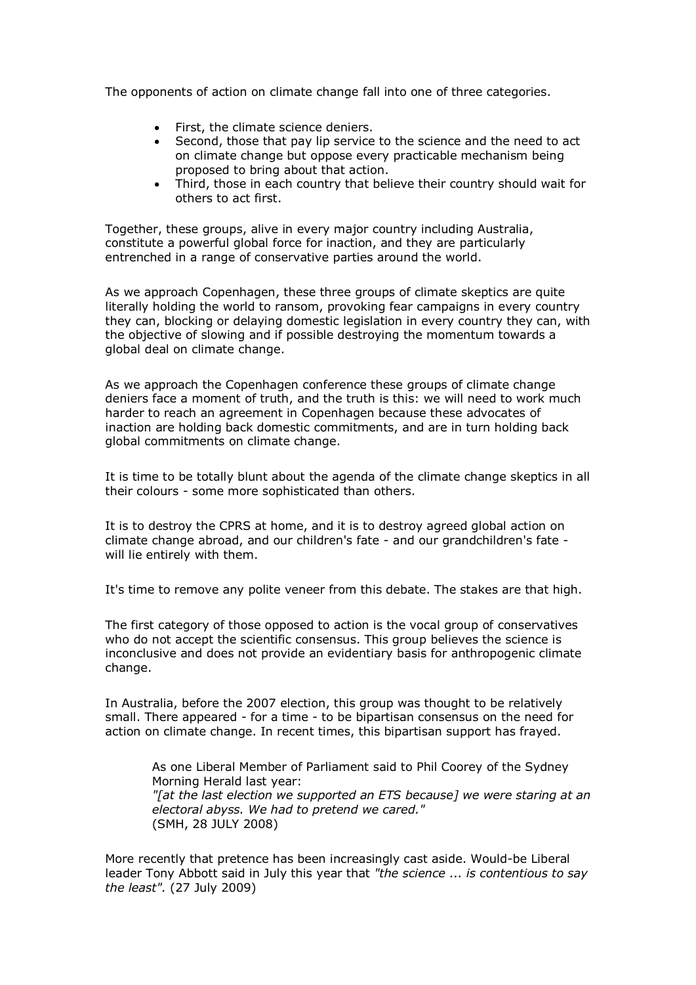The opponents of action on climate change fall into one of three categories.

- First, the climate science deniers.
- Second, those that pay lip service to the science and the need to act on climate change but oppose every practicable mechanism being proposed to bring about that action.
- · Third, those in each country that believe their country should wait for others to act first.

Together, these groups, alive in every major country including Australia, constitute a powerful global force for inaction, and they are particularly entrenched in a range of conservative parties around the world.

As we approach Copenhagen, these three groups of climate skeptics are quite literally holding the world to ransom, provoking fear campaigns in every country they can, blocking or delaying domestic legislation in every country they can, with the objective of slowing and if possible destroying the momentum towards a global deal on climate change.

As we approach the Copenhagen conference these groups of climate change deniers face a moment of truth, and the truth is this: we will need to work much harder to reach an agreement in Copenhagen because these advocates of inaction are holding back domestic commitments, and are in turn holding back global commitments on climate change.

It is time to be totally blunt about the agenda of the climate change skeptics in all their colours - some more sophisticated than others.

It is to destroy the CPRS at home, and it is to destroy agreed global action on climate change abroad, and our children's fate - and our grandchildren's fate will lie entirely with them.

It's time to remove any polite veneer from this debate. The stakes are that high.

The first category of those opposed to action is the vocal group of conservatives who do not accept the scientific consensus. This group believes the science is inconclusive and does not provide an evidentiary basis for anthropogenic climate change.

In Australia, before the 2007 election, this group was thought to be relatively small. There appeared - for a time - to be bipartisan consensus on the need for action on climate change. In recent times, this bipartisan support has frayed.

As one Liberal Member of Parliament said to Phil Coorey of the Sydney Morning Herald last year: *"[at the last election we supported an ETS because] we were staring at an electoral abyss. We had to pretend we cared."* (SMH, 28 JULY 2008)

More recently that pretence has been increasingly cast aside. Would-be Liberal leader Tony Abbott said in July this year that *"the science ... is contentious to say the least".* (27 July 2009)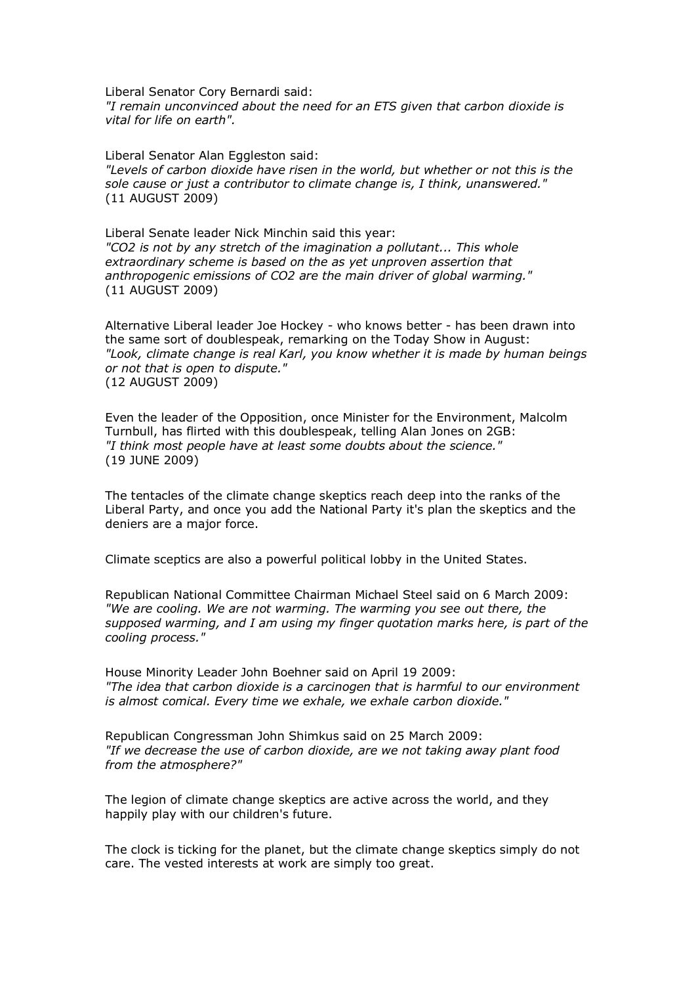Liberal Senator Cory Bernardi said: *"I remain unconvinced about the need for an ETS given that carbon dioxide is vital for life on earth".*

Liberal Senator Alan Eggleston said: *"Levels of carbon dioxide have risen in the world, but whether or not this is the sole cause or just a contributor to climate change is, I think, unanswered."* (11 AUGUST 2009)

Liberal Senate leader Nick Minchin said this year: *"CO2 is not by any stretch of the imagination a pollutant... This whole extraordinary scheme is based on the as yet unproven assertion that anthropogenic emissions of CO2 are the main driver of global warming."* (11 AUGUST 2009)

Alternative Liberal leader Joe Hockey - who knows better - has been drawn into the same sort of doublespeak, remarking on the Today Show in August: *"Look, climate change is real Karl, you know whether it is made by human beings or not that is open to dispute."* (12 AUGUST 2009)

Even the leader of the Opposition, once Minister for the Environment, Malcolm Turnbull, has flirted with this doublespeak, telling Alan Jones on 2GB: *"I think most people have at least some doubts about the science."* (19 JUNE 2009)

The tentacles of the climate change skeptics reach deep into the ranks of the Liberal Party, and once you add the National Party it's plan the skeptics and the deniers are a major force.

Climate sceptics are also a powerful political lobby in the United States.

Republican National Committee Chairman Michael Steel said on 6 March 2009: *"We are cooling. We are not warming. The warming you see out there, the supposed warming, and I am using my finger quotation marks here, is part of the cooling process."*

House Minority Leader John Boehner said on April 19 2009: *"The idea that carbon dioxide is a carcinogen that is harmful to our environment is almost comical. Every time we exhale, we exhale carbon dioxide."*

Republican Congressman John Shimkus said on 25 March 2009: *"If we decrease the use of carbon dioxide, are we not taking away plant food from the atmosphere?"*

The legion of climate change skeptics are active across the world, and they happily play with our children's future.

The clock is ticking for the planet, but the climate change skeptics simply do not care. The vested interests at work are simply too great.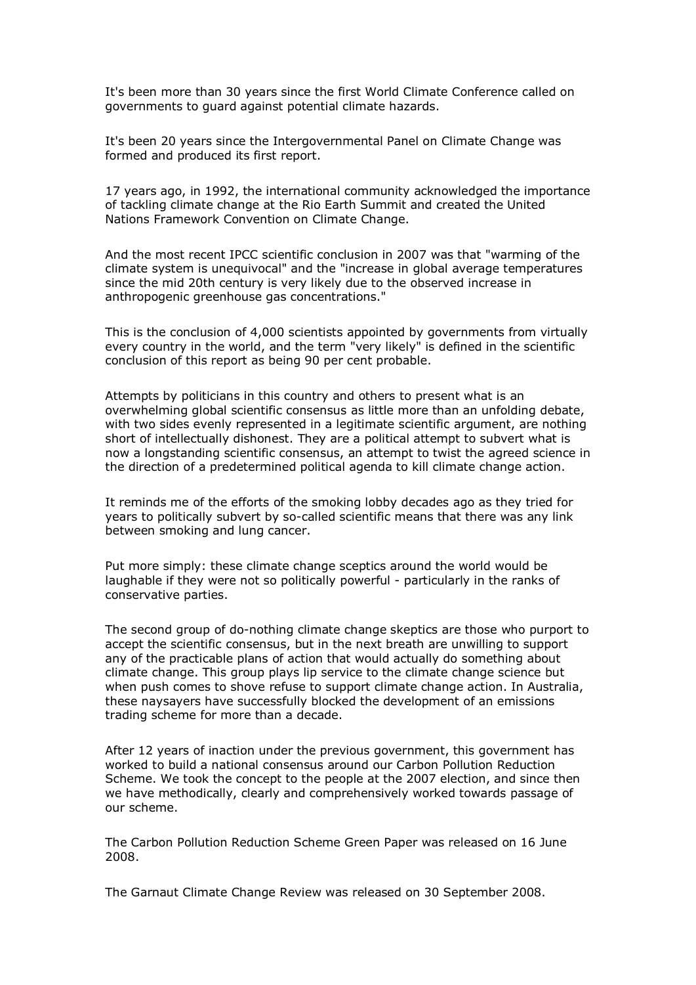It's been more than 30 years since the first World Climate Conference called on governments to guard against potential climate hazards.

It's been 20 years since the Intergovernmental Panel on Climate Change was formed and produced its first report.

17 years ago, in 1992, the international community acknowledged the importance of tackling climate change at the Rio Earth Summit and created the United Nations Framework Convention on Climate Change.

And the most recent IPCC scientific conclusion in 2007 was that "warming of the climate system is unequivocal" and the "increase in global average temperatures since the mid 20th century is very likely due to the observed increase in anthropogenic greenhouse gas concentrations."

This is the conclusion of 4,000 scientists appointed by governments from virtually every country in the world, and the term "very likely" is defined in the scientific conclusion of this report as being 90 per cent probable.

Attempts by politicians in this country and others to present what is an overwhelming global scientific consensus as little more than an unfolding debate, with two sides evenly represented in a legitimate scientific argument, are nothing short of intellectually dishonest. They are a political attempt to subvert what is now a longstanding scientific consensus, an attempt to twist the agreed science in the direction of a predetermined political agenda to kill climate change action.

It reminds me of the efforts of the smoking lobby decades ago as they tried for years to politically subvert by so-called scientific means that there was any link between smoking and lung cancer.

Put more simply: these climate change sceptics around the world would be laughable if they were not so politically powerful - particularly in the ranks of conservative parties.

The second group of do-nothing climate change skeptics are those who purport to accept the scientific consensus, but in the next breath are unwilling to support any of the practicable plans of action that would actually do something about climate change. This group plays lip service to the climate change science but when push comes to shove refuse to support climate change action. In Australia, these naysayers have successfully blocked the development of an emissions trading scheme for more than a decade.

After 12 years of inaction under the previous government, this government has worked to build a national consensus around our Carbon Pollution Reduction Scheme. We took the concept to the people at the 2007 election, and since then we have methodically, clearly and comprehensively worked towards passage of our scheme.

The Carbon Pollution Reduction Scheme Green Paper was released on 16 June 2008.

The Garnaut Climate Change Review was released on 30 September 2008.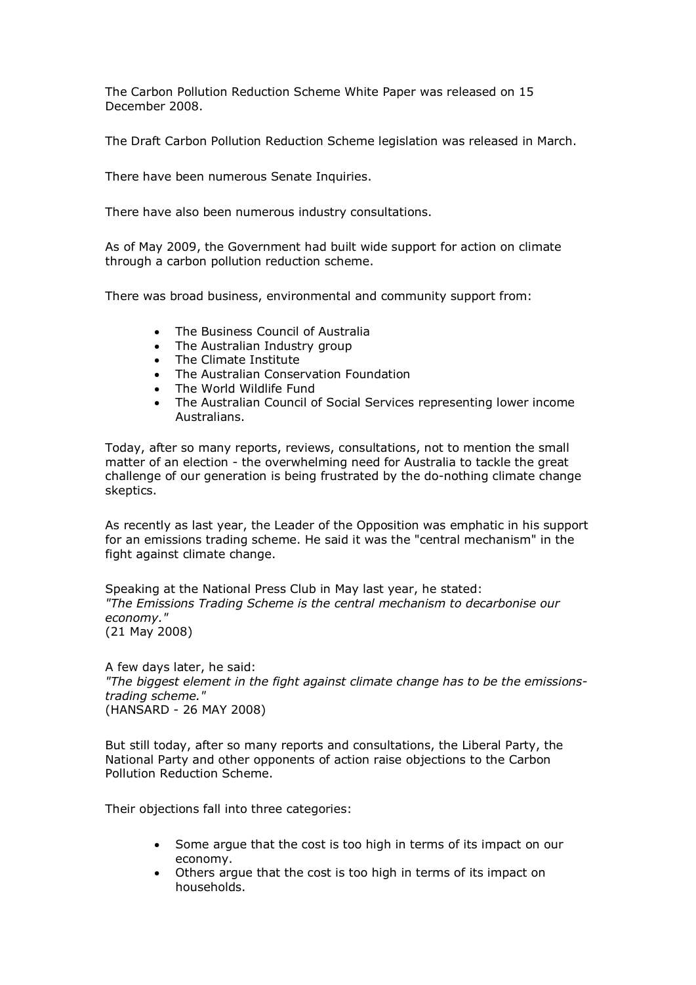The Carbon Pollution Reduction Scheme White Paper was released on 15 December 2008.

The Draft Carbon Pollution Reduction Scheme legislation was released in March.

There have been numerous Senate Inquiries.

There have also been numerous industry consultations.

As of May 2009, the Government had built wide support for action on climate through a carbon pollution reduction scheme.

There was broad business, environmental and community support from:

- · The Business Council of Australia
- · The Australian Industry group
- · The Climate Institute
- The Australian Conservation Foundation
- The World Wildlife Fund
- The Australian Council of Social Services representing lower income Australians.

Today, after so many reports, reviews, consultations, not to mention the small matter of an election - the overwhelming need for Australia to tackle the great challenge of our generation is being frustrated by the do-nothing climate change skeptics.

As recently as last year, the Leader of the Opposition was emphatic in his support for an emissions trading scheme. He said it was the "central mechanism" in the fight against climate change.

Speaking at the National Press Club in May last year, he stated: *"The Emissions Trading Scheme is the central mechanism to decarbonise our economy."* (21 May 2008)

A few days later, he said: *"The biggest element in the fight against climate change has to be the emissions trading scheme."* (HANSARD 26 MAY 2008)

But still today, after so many reports and consultations, the Liberal Party, the National Party and other opponents of action raise objections to the Carbon Pollution Reduction Scheme.

Their objections fall into three categories:

- · Some argue that the cost is too high in terms of its impact on our economy.
- Others argue that the cost is too high in terms of its impact on households.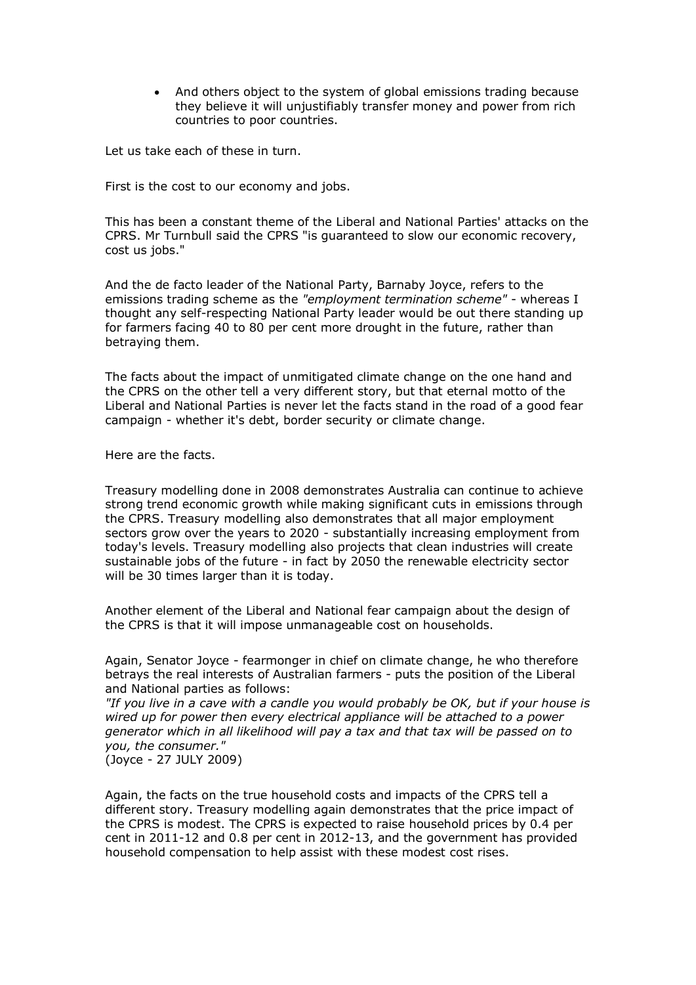And others object to the system of global emissions trading because they believe it will unjustifiably transfer money and power from rich countries to poor countries.

Let us take each of these in turn.

First is the cost to our economy and jobs.

This has been a constant theme of the Liberal and National Parties' attacks on the CPRS. Mr Turnbull said the CPRS "is guaranteed to slow our economic recovery, cost us jobs."

And the de facto leader of the National Party, Barnaby Joyce, refers to the emissions trading scheme as the *"employment termination scheme"* whereas I thought any self-respecting National Party leader would be out there standing up for farmers facing 40 to 80 per cent more drought in the future, rather than betraying them.

The facts about the impact of unmitigated climate change on the one hand and the CPRS on the other tell a very different story, but that eternal motto of the Liberal and National Parties is never let the facts stand in the road of a good fear campaign - whether it's debt, border security or climate change.

Here are the facts.

Treasury modelling done in 2008 demonstrates Australia can continue to achieve strong trend economic growth while making significant cuts in emissions through the CPRS. Treasury modelling also demonstrates that all major employment sectors grow over the years to 2020 - substantially increasing employment from today's levels. Treasury modelling also projects that clean industries will create sustainable jobs of the future - in fact by 2050 the renewable electricity sector will be 30 times larger than it is today.

Another element of the Liberal and National fear campaign about the design of the CPRS is that it will impose unmanageable cost on households.

Again, Senator Joyce fearmonger in chief on climate change, he who therefore betrays the real interests of Australian farmers - puts the position of the Liberal and National parties as follows:

*"If you live in a cave with a candle you would probably be OK, but if your house is wired up for power then every electrical appliance will be attached to a power generator which in all likelihood will pay a tax and that tax will be passed on to you, the consumer."*

(Joyce 27 JULY 2009)

Again, the facts on the true household costs and impacts of the CPRS tell a different story. Treasury modelling again demonstrates that the price impact of the CPRS is modest. The CPRS is expected to raise household prices by 0.4 per cent in 2011-12 and 0.8 per cent in 2012-13, and the government has provided household compensation to help assist with these modest cost rises.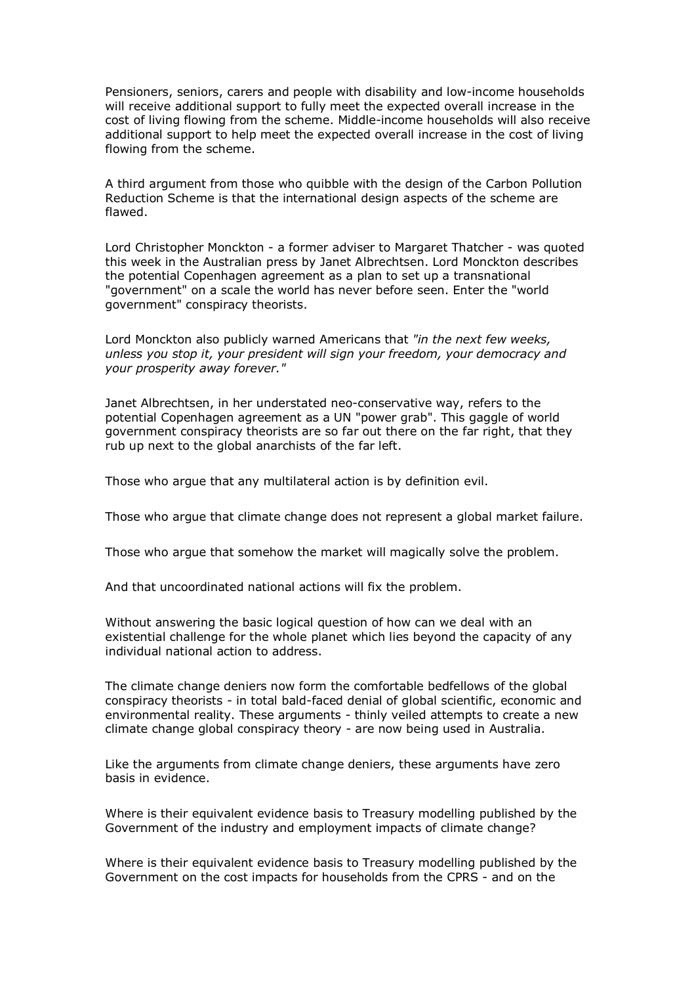Pensioners, seniors, carers and people with disability and low-income households will receive additional support to fully meet the expected overall increase in the cost of living flowing from the scheme. Middle-income households will also receive additional support to help meet the expected overall increase in the cost of living flowing from the scheme.

A third argument from those who quibble with the design of the Carbon Pollution Reduction Scheme is that the international design aspects of the scheme are flawed.

Lord Christopher Monckton - a former adviser to Margaret Thatcher - was quoted this week in the Australian press by Janet Albrechtsen. Lord Monckton describes the potential Copenhagen agreement as a plan to set up a transnational "government" on a scale the world has never before seen. Enter the "world government" conspiracy theorists.

Lord Monckton also publicly warned Americans that *"in the next few weeks, unless you stop it, your president will sign your freedom, your democracy and your prosperity away forever."*

Janet Albrechtsen, in her understated neo-conservative way, refers to the potential Copenhagen agreement as a UN "power grab". This gaggle of world government conspiracy theorists are so far out there on the far right, that they rub up next to the global anarchists of the far left.

Those who argue that any multilateral action is by definition evil.

Those who argue that climate change does not represent a global market failure.

Those who argue that somehow the market will magically solve the problem.

And that uncoordinated national actions will fix the problem.

Without answering the basic logical question of how can we deal with an existential challenge for the whole planet which lies beyond the capacity of any individual national action to address.

The climate change deniers now form the comfortable bedfellows of the global conspiracy theorists - in total bald-faced denial of global scientific, economic and environmental reality. These arguments - thinly veiled attempts to create a new climate change global conspiracy theory - are now being used in Australia.

Like the arguments from climate change deniers, these arguments have zero basis in evidence.

Where is their equivalent evidence basis to Treasury modelling published by the Government of the industry and employment impacts of climate change?

Where is their equivalent evidence basis to Treasury modelling published by the Government on the cost impacts for households from the CPRS - and on the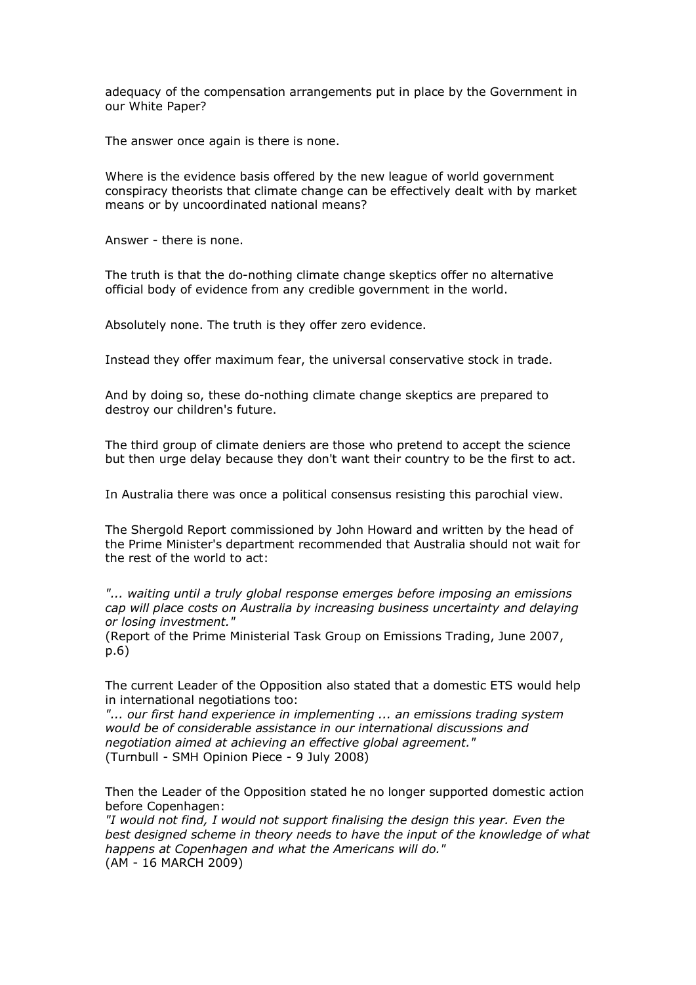adequacy of the compensation arrangements put in place by the Government in our White Paper?

The answer once again is there is none.

Where is the evidence basis offered by the new league of world government conspiracy theorists that climate change can be effectively dealt with by market means or by uncoordinated national means?

Answer - there is none.

The truth is that the do-nothing climate change skeptics offer no alternative official body of evidence from any credible government in the world.

Absolutely none. The truth is they offer zero evidence.

Instead they offer maximum fear, the universal conservative stock in trade.

And by doing so, these do-nothing climate change skeptics are prepared to destroy our children's future.

The third group of climate deniers are those who pretend to accept the science but then urge delay because they don't want their country to be the first to act.

In Australia there was once a political consensus resisting this parochial view.

The Shergold Report commissioned by John Howard and written by the head of the Prime Minister's department recommended that Australia should not wait for the rest of the world to act:

*"... waiting until a truly global response emerges before imposing an emissions cap will place costs on Australia by increasing business uncertainty and delaying or losing investment."*

(Report of the Prime Ministerial Task Group on Emissions Trading, June 2007, p.6)

The current Leader of the Opposition also stated that a domestic ETS would help in international negotiations too:

*"... our first hand experience in implementing ... an emissions trading system would be of considerable assistance in our international discussions and negotiation aimed at achieving an effective global agreement."* (Turnbull - SMH Opinion Piece - 9 July 2008)

Then the Leader of the Opposition stated he no longer supported domestic action before Copenhagen:

*"I would not find, I would not support finalising the design this year. Even the best designed scheme in theory needs to have the input of the knowledge of what happens at Copenhagen and what the Americans will do."* (AM - 16 MARCH 2009)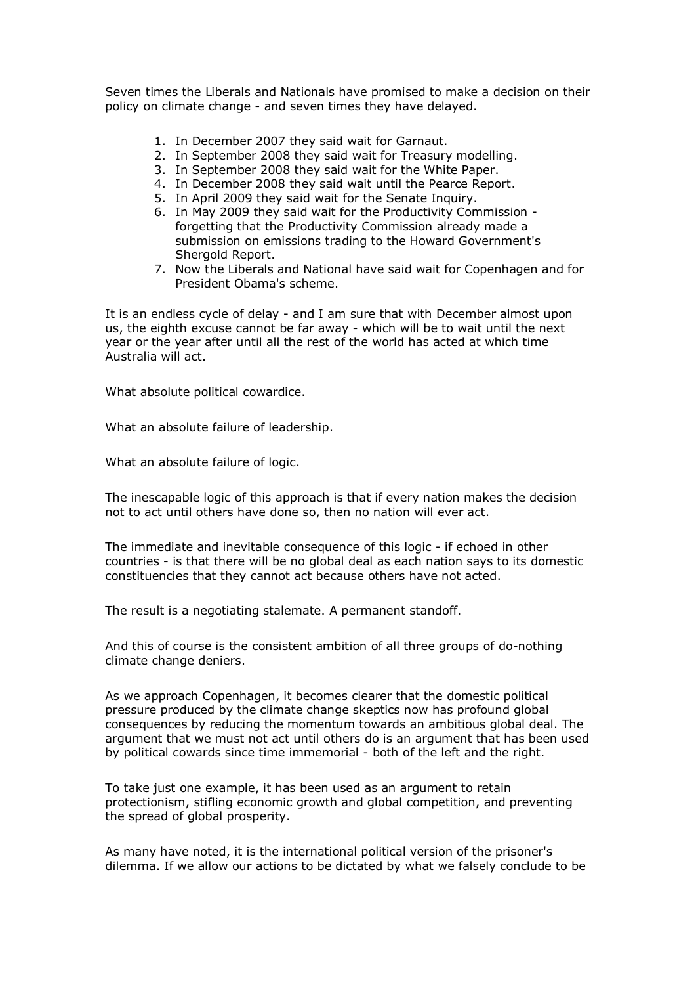Seven times the Liberals and Nationals have promised to make a decision on their policy on climate change - and seven times they have delayed.

- 1. In December 2007 they said wait for Garnaut.
- 2. In September 2008 they said wait for Treasury modelling.
- 3. In September 2008 they said wait for the White Paper.
- 4. In December 2008 they said wait until the Pearce Report.
- 5. In April 2009 they said wait for the Senate Inquiry.
- 6. In May 2009 they said wait for the Productivity Commission forgetting that the Productivity Commission already made a submission on emissions trading to the Howard Government's Shergold Report.
- 7. Now the Liberals and National have said wait for Copenhagen and for President Obama's scheme.

It is an endless cycle of delay - and I am sure that with December almost upon us, the eighth excuse cannot be far away - which will be to wait until the next year or the year after until all the rest of the world has acted at which time Australia will act.

What absolute political cowardice.

What an absolute failure of leadership.

What an absolute failure of logic.

The inescapable logic of this approach is that if every nation makes the decision not to act until others have done so, then no nation will ever act.

The immediate and inevitable consequence of this logic - if echoed in other countries is that there will be no global deal as each nation says to its domestic constituencies that they cannot act because others have not acted.

The result is a negotiating stalemate. A permanent standoff.

And this of course is the consistent ambition of all three groups of do-nothing climate change deniers.

As we approach Copenhagen, it becomes clearer that the domestic political pressure produced by the climate change skeptics now has profound global consequences by reducing the momentum towards an ambitious global deal. The argument that we must not act until others do is an argument that has been used by political cowards since time immemorial - both of the left and the right.

To take just one example, it has been used as an argument to retain protectionism, stifling economic growth and global competition, and preventing the spread of global prosperity.

As many have noted, it is the international political version of the prisoner's dilemma. If we allow our actions to be dictated by what we falsely conclude to be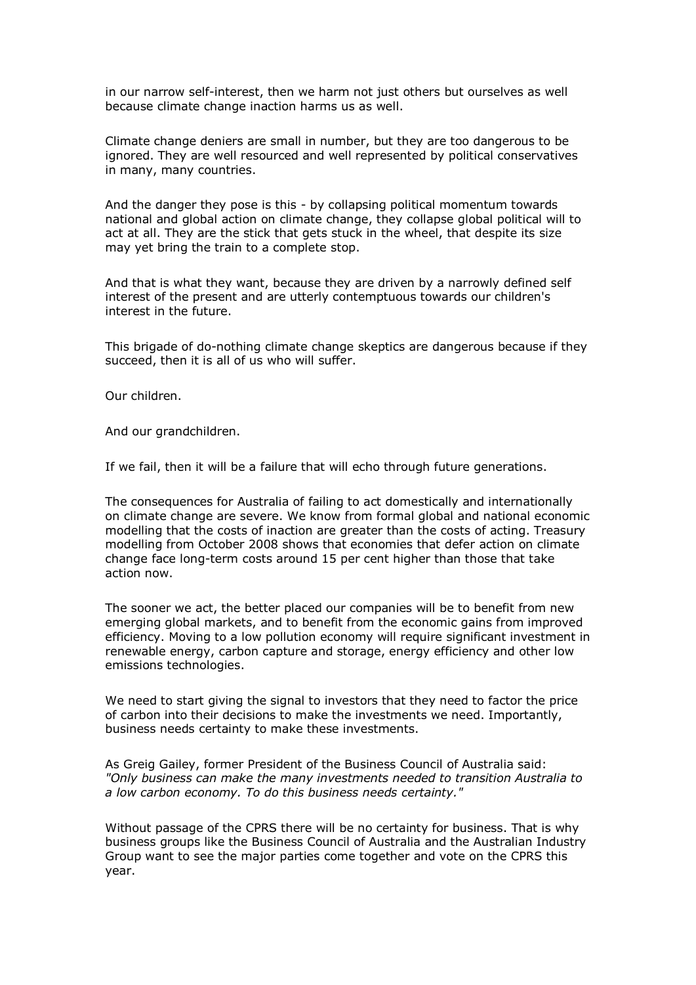in our narrow self-interest, then we harm not just others but ourselves as well because climate change inaction harms us as well.

Climate change deniers are small in number, but they are too dangerous to be ignored. They are well resourced and well represented by political conservatives in many, many countries.

And the danger they pose is this - by collapsing political momentum towards national and global action on climate change, they collapse global political will to act at all. They are the stick that gets stuck in the wheel, that despite its size may yet bring the train to a complete stop.

And that is what they want, because they are driven by a narrowly defined self interest of the present and are utterly contemptuous towards our children's interest in the future.

This brigade of do-nothing climate change skeptics are dangerous because if they succeed, then it is all of us who will suffer.

Our children.

And our grandchildren.

If we fail, then it will be a failure that will echo through future generations.

The consequences for Australia of failing to act domestically and internationally on climate change are severe. We know from formal global and national economic modelling that the costs of inaction are greater than the costs of acting. Treasury modelling from October 2008 shows that economies that defer action on climate change face long-term costs around 15 per cent higher than those that take action now.

The sooner we act, the better placed our companies will be to benefit from new emerging global markets, and to benefit from the economic gains from improved efficiency. Moving to a low pollution economy will require significant investment in renewable energy, carbon capture and storage, energy efficiency and other low emissions technologies.

We need to start giving the signal to investors that they need to factor the price of carbon into their decisions to make the investments we need. Importantly, business needs certainty to make these investments.

As Greig Gailey, former President of the Business Council of Australia said: *"Only business can make the many investments needed to transition Australia to a low carbon economy. To do this business needs certainty."*

Without passage of the CPRS there will be no certainty for business. That is why business groups like the Business Council of Australia and the Australian Industry Group want to see the major parties come together and vote on the CPRS this year.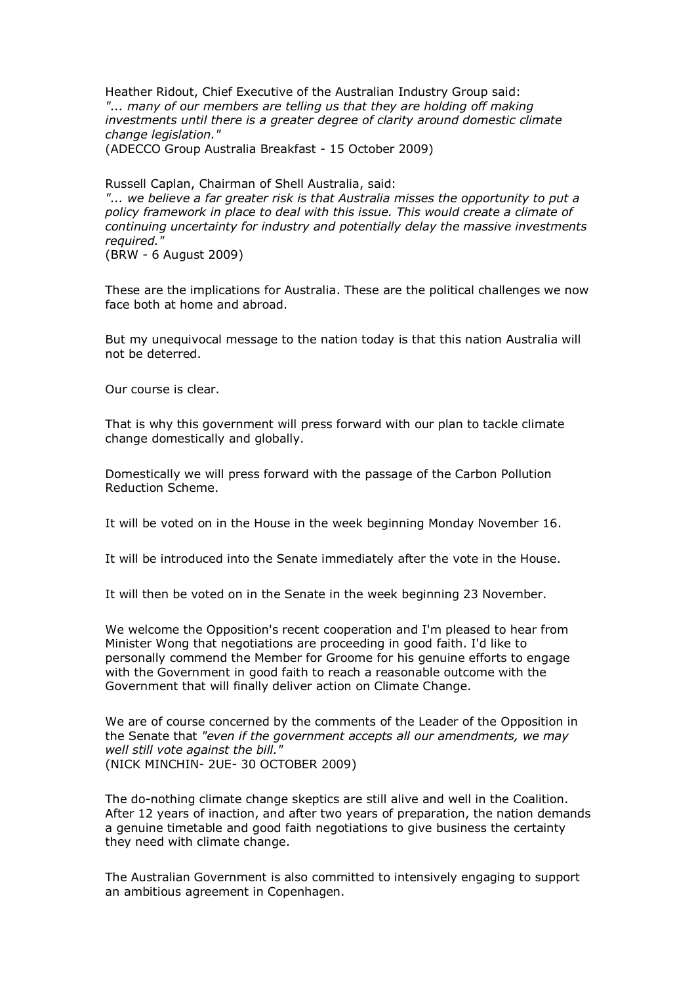Heather Ridout, Chief Executive of the Australian Industry Group said: "... many of our members are telling us that they are holding off making *investments until there is a greater degree of clarity around domestic climate change legislation."*

(ADECCO Group Australia Breakfast 15 October 2009)

Russell Caplan, Chairman of Shell Australia, said:

*"... we believe a far greater risk is that Australia misses the opportunity to put a policy framework in place to deal with this issue. This would create a climate of continuing uncertainty for industry and potentially delay the massive investments required."*

(BRW 6 August 2009)

These are the implications for Australia. These are the political challenges we now face both at home and abroad.

But my unequivocal message to the nation today is that this nation Australia will not be deterred.

Our course is clear.

That is why this government will press forward with our plan to tackle climate change domestically and globally.

Domestically we will press forward with the passage of the Carbon Pollution Reduction Scheme.

It will be voted on in the House in the week beginning Monday November 16.

It will be introduced into the Senate immediately after the vote in the House.

It will then be voted on in the Senate in the week beginning 23 November.

We welcome the Opposition's recent cooperation and I'm pleased to hear from Minister Wong that negotiations are proceeding in good faith. I'd like to personally commend the Member for Groome for his genuine efforts to engage with the Government in good faith to reach a reasonable outcome with the Government that will finally deliver action on Climate Change.

We are of course concerned by the comments of the Leader of the Opposition in the Senate that *"even if the government accepts all our amendments, we may well still vote against the bill."* (NICK MINCHIN- 2UE- 30 OCTOBER 2009)

The do-nothing climate change skeptics are still alive and well in the Coalition. After 12 years of inaction, and after two years of preparation, the nation demands a genuine timetable and good faith negotiations to give business the certainty they need with climate change.

The Australian Government is also committed to intensively engaging to support an ambitious agreement in Copenhagen.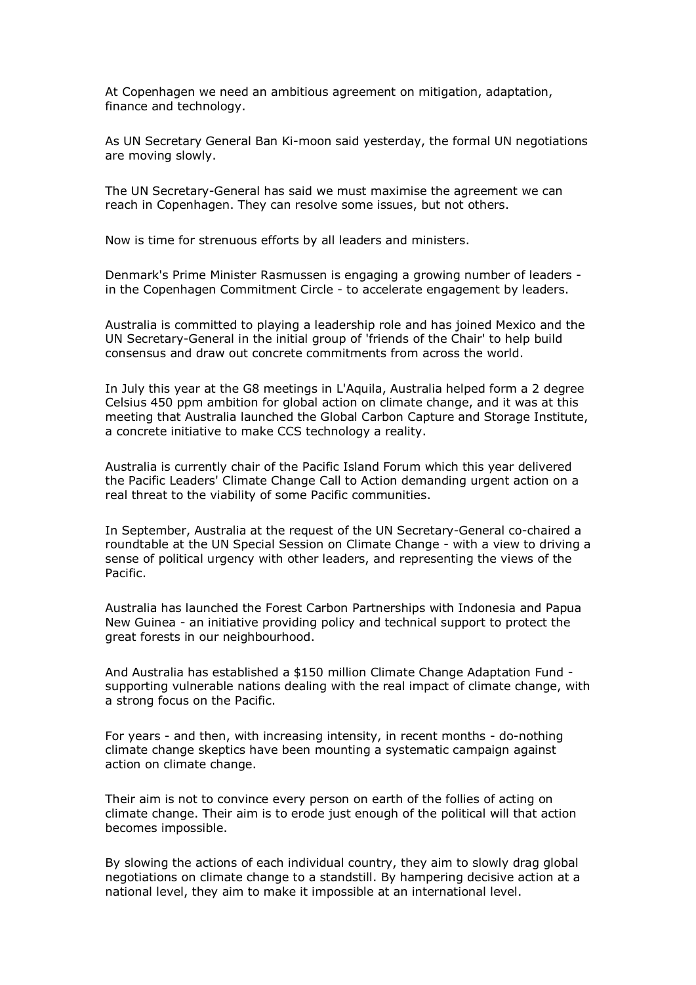At Copenhagen we need an ambitious agreement on mitigation, adaptation, finance and technology.

As UN Secretary General Ban Ki-moon said yesterday, the formal UN negotiations are moving slowly.

The UN Secretary-General has said we must maximise the agreement we can reach in Copenhagen. They can resolve some issues, but not others.

Now is time for strenuous efforts by all leaders and ministers.

Denmark's Prime Minister Rasmussen is engaging a growing number of leaders in the Copenhagen Commitment Circle - to accelerate engagement by leaders.

Australia is committed to playing a leadership role and has joined Mexico and the UN Secretary-General in the initial group of 'friends of the Chair' to help build consensus and draw out concrete commitments from across the world.

In July this year at the G8 meetings in L'Aquila, Australia helped form a 2 degree Celsius 450 ppm ambition for global action on climate change, and it was at this meeting that Australia launched the Global Carbon Capture and Storage Institute, a concrete initiative to make CCS technology a reality.

Australia is currently chair of the Pacific Island Forum which this year delivered the Pacific Leaders' Climate Change Call to Action demanding urgent action on a real threat to the viability of some Pacific communities.

In September, Australia at the request of the UN Secretary-General co-chaired a roundtable at the UN Special Session on Climate Change - with a view to driving a sense of political urgency with other leaders, and representing the views of the Pacific.

Australia has launched the Forest Carbon Partnerships with Indonesia and Papua New Guinea - an initiative providing policy and technical support to protect the great forests in our neighbourhood.

And Australia has established a \$150 million Climate Change Adaptation Fund supporting vulnerable nations dealing with the real impact of climate change, with a strong focus on the Pacific.

For years - and then, with increasing intensity, in recent months - do-nothing climate change skeptics have been mounting a systematic campaign against action on climate change.

Their aim is not to convince every person on earth of the follies of acting on climate change. Their aim is to erode just enough of the political will that action becomes impossible.

By slowing the actions of each individual country, they aim to slowly drag global negotiations on climate change to a standstill. By hampering decisive action at a national level, they aim to make it impossible at an international level.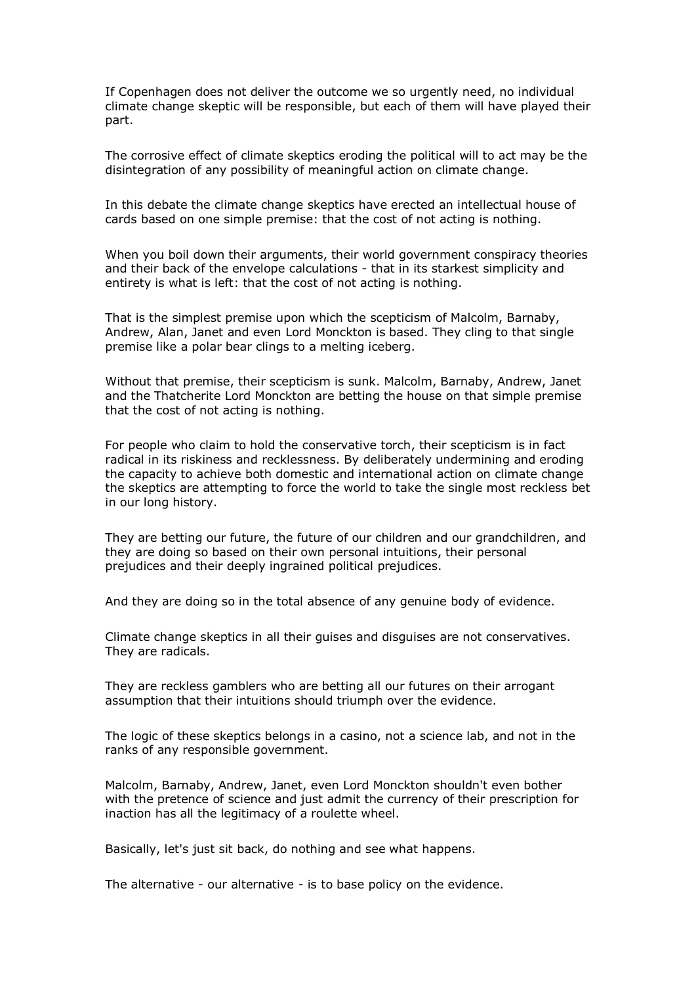If Copenhagen does not deliver the outcome we so urgently need, no individual climate change skeptic will be responsible, but each of them will have played their part.

The corrosive effect of climate skeptics eroding the political will to act may be the disintegration of any possibility of meaningful action on climate change.

In this debate the climate change skeptics have erected an intellectual house of cards based on one simple premise: that the cost of not acting is nothing.

When you boil down their arguments, their world government conspiracy theories and their back of the envelope calculations - that in its starkest simplicity and entirety is what is left: that the cost of not acting is nothing.

That is the simplest premise upon which the scepticism of Malcolm, Barnaby, Andrew, Alan, Janet and even Lord Monckton is based. They cling to that single premise like a polar bear clings to a melting iceberg.

Without that premise, their scepticism is sunk. Malcolm, Barnaby, Andrew, Janet and the Thatcherite Lord Monckton are betting the house on that simple premise that the cost of not acting is nothing.

For people who claim to hold the conservative torch, their scepticism is in fact radical in its riskiness and recklessness. By deliberately undermining and eroding the capacity to achieve both domestic and international action on climate change the skeptics are attempting to force the world to take the single most reckless bet in our long history.

They are betting our future, the future of our children and our grandchildren, and they are doing so based on their own personal intuitions, their personal prejudices and their deeply ingrained political prejudices.

And they are doing so in the total absence of any genuine body of evidence.

Climate change skeptics in all their guises and disguises are not conservatives. They are radicals.

They are reckless gamblers who are betting all our futures on their arrogant assumption that their intuitions should triumph over the evidence.

The logic of these skeptics belongs in a casino, not a science lab, and not in the ranks of any responsible government.

Malcolm, Barnaby, Andrew, Janet, even Lord Monckton shouldn't even bother with the pretence of science and just admit the currency of their prescription for inaction has all the legitimacy of a roulette wheel.

Basically, let's just sit back, do nothing and see what happens.

The alternative - our alternative - is to base policy on the evidence.